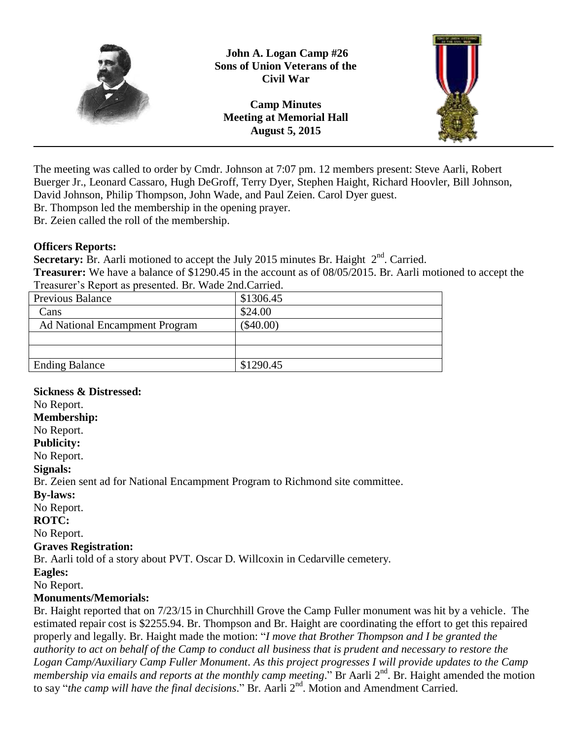

**John A. Logan Camp #26 Sons of Union Veterans of the Civil War**

**Camp Minutes Meeting at Memorial Hall August 5, 2015**



The meeting was called to order by Cmdr. Johnson at 7:07 pm. 12 members present: Steve Aarli, Robert Buerger Jr., Leonard Cassaro, Hugh DeGroff, Terry Dyer, Stephen Haight, Richard Hoovler, Bill Johnson, David Johnson, Philip Thompson, John Wade, and Paul Zeien. Carol Dyer guest.

Br. Thompson led the membership in the opening prayer.

Br. Zeien called the roll of the membership.

#### **Officers Reports:**

**Secretary:** Br. Aarli motioned to accept the July 2015 minutes Br. Haight  $2<sup>nd</sup>$ . Carried.

**Treasurer:** We have a balance of \$1290.45 in the account as of 08/05/2015. Br. Aarli motioned to accept the Treasurer's Report as presented. Br. Wade 2nd.Carried.

| Previous Balance                      | \$1306.45 |
|---------------------------------------|-----------|
| Cans                                  | \$24.00   |
| <b>Ad National Encampment Program</b> | (\$40.00) |
|                                       |           |
|                                       |           |
| <b>Ending Balance</b>                 | \$1290.45 |
|                                       |           |

# **Sickness & Distressed:**

No Report.

#### **Membership:**

No Report.

**Publicity:**

No Report.

**Signals:**

Br. Zeien sent ad for National Encampment Program to Richmond site committee.

**By-laws:**

No Report.

**ROTC:**

No Report.

#### **Graves Registration:**

Br. Aarli told of a story about PVT. Oscar D. Willcoxin in Cedarville cemetery.

**Eagles:**

No Report.

#### **Monuments/Memorials:**

Br. Haight reported that on 7/23/15 in Churchhill Grove the Camp Fuller monument was hit by a vehicle. The estimated repair cost is \$2255.94. Br. Thompson and Br. Haight are coordinating the effort to get this repaired properly and legally. Br. Haight made the motion: "*I move that Brother Thompson and I be granted the authority to act on behalf of the Camp to conduct all business that is prudent and necessary to restore the Logan Camp/Auxiliary Camp Fuller Monument. As this project progresses I will provide updates to the Camp membership via emails and reports at the monthly camp meeting.*" Br Aarli 2<sup>nd</sup>. Br. Haight amended the motion to say "*the camp will have the final decisions*." Br. Aarli 2<sup>nd</sup>. Motion and Amendment Carried.